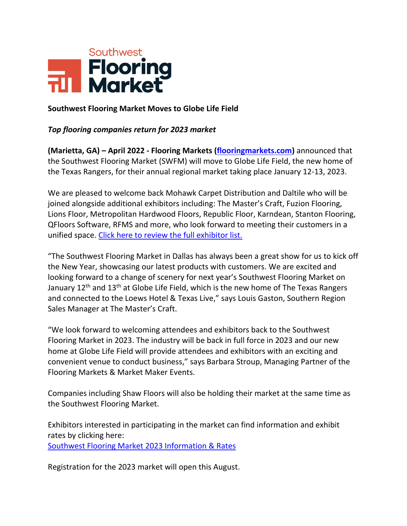

## **Southwest Flooring Market Moves to Globe Life Field**

## *Top flooring companies return for 2023 market*

**(Marietta, GA) – April 2022 - Flooring Markets [\(flooringmarkets.com\)](file:///C:/Users/MME2/Downloads/flooringmarkets.com)** announced that the Southwest Flooring Market (SWFM) will move to Globe Life Field, the new home of the Texas Rangers, for their annual regional market taking place January 12-13, 2023.

We are pleased to welcome back Mohawk Carpet Distribution and Daltile who will be joined alongside additional exhibitors including: The Master's Craft, Fuzion Flooring, Lions Floor, Metropolitan Hardwood Floors, Republic Floor, Karndean, Stanton Flooring, QFloors Software, RFMS and more, who look forward to meeting their customers in a unified space. [Click here to review the full exhibitor list.](https://www.expocad.com/host/fx/mme/23swfmr/exfx.html)

"The Southwest Flooring Market in Dallas has always been a great show for us to kick off the New Year, showcasing our latest products with customers. We are excited and looking forward to a change of scenery for next year's Southwest Flooring Market on January 12<sup>th</sup> and 13<sup>th</sup> at Globe Life Field, which is the new home of The Texas Rangers and connected to the Loews Hotel & Texas Live," says Louis Gaston, Southern Region Sales Manager at The Master's Craft.

"We look forward to welcoming attendees and exhibitors back to the Southwest Flooring Market in 2023. The industry will be back in full force in 2023 and our new home at Globe Life Field will provide attendees and exhibitors with an exciting and convenient venue to conduct business," says Barbara Stroup, Managing Partner of the Flooring Markets & Market Maker Events.

Companies including Shaw Floors will also be holding their market at the same time as the Southwest Flooring Market.

Exhibitors interested in participating in the market can find information and exhibit rates by clicking here: [Southwest Flooring Market 2023 Information & Rates](https://flooringmarkets.com/southwest-flooring-market/2023-information-rates/)

Registration for the 2023 market will open this August.